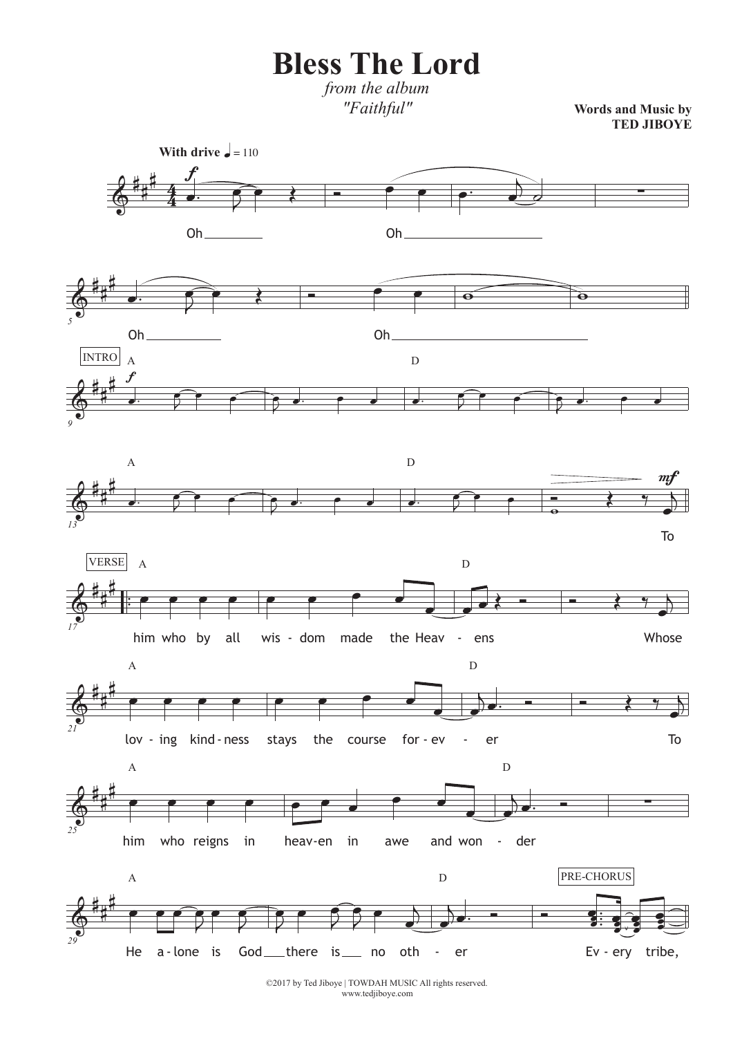**Bless The Lord**

*from the album "Faithful"*

**Words and Music by TED JIBOYE**



©2017 by Ted Jiboye | TOWDAH MUSIC All rights reserved. www.tedjiboye.com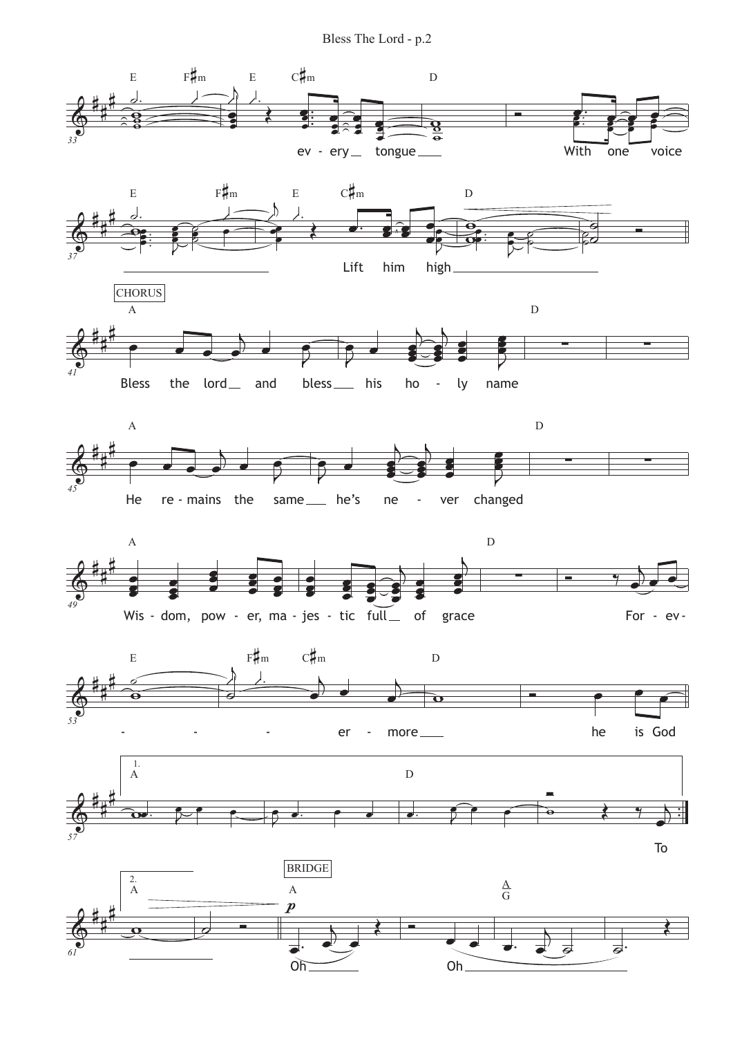Bless The Lord - p.2